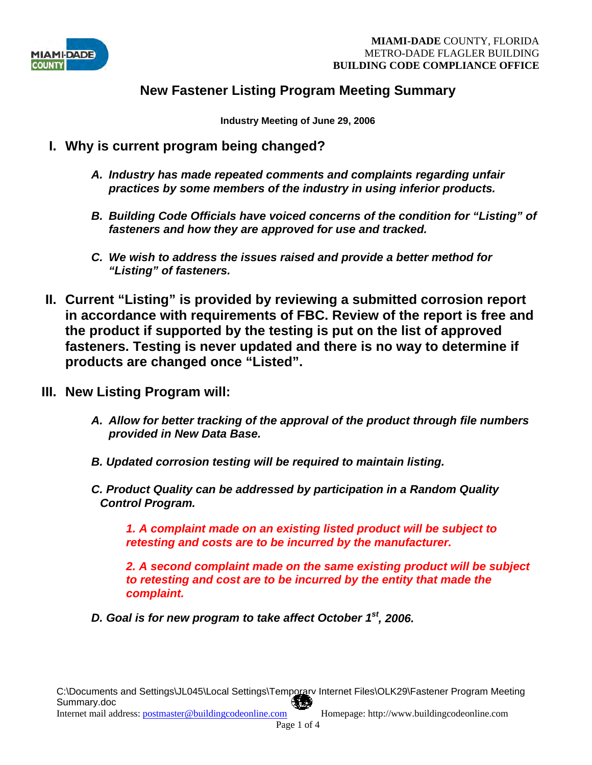

# **New Fastener Listing Program Meeting Summary**

**Industry Meeting of June 29, 2006** 

- **I. Why is current program being changed?** 
	- *A. Industry has made repeated comments and complaints regarding unfair practices by some members of the industry in using inferior products.*
	- *B. Building Code Officials have voiced concerns of the condition for "Listing" of fasteners and how they are approved for use and tracked.*
	- *C. We wish to address the issues raised and provide a better method for "Listing" of fasteners.*
- **II. Current "Listing" is provided by reviewing a submitted corrosion report in accordance with requirements of FBC. Review of the report is free and the product if supported by the testing is put on the list of approved fasteners. Testing is never updated and there is no way to determine if products are changed once "Listed".**
- **III. New Listing Program will:** 
	- *A. Allow for better tracking of the approval of the product through file numbers provided in New Data Base.*
	- *B. Updated corrosion testing will be required to maintain listing.*
	- *C. Product Quality can be addressed by participation in a Random Quality Control Program.*

*1. A complaint made on an existing listed product will be subject to retesting and costs are to be incurred by the manufacturer.* 

*2. A second complaint made on the same existing product will be subject to retesting and cost are to be incurred by the entity that made the complaint.* 

*D. Goal is for new program to take affect October 1st, 2006.*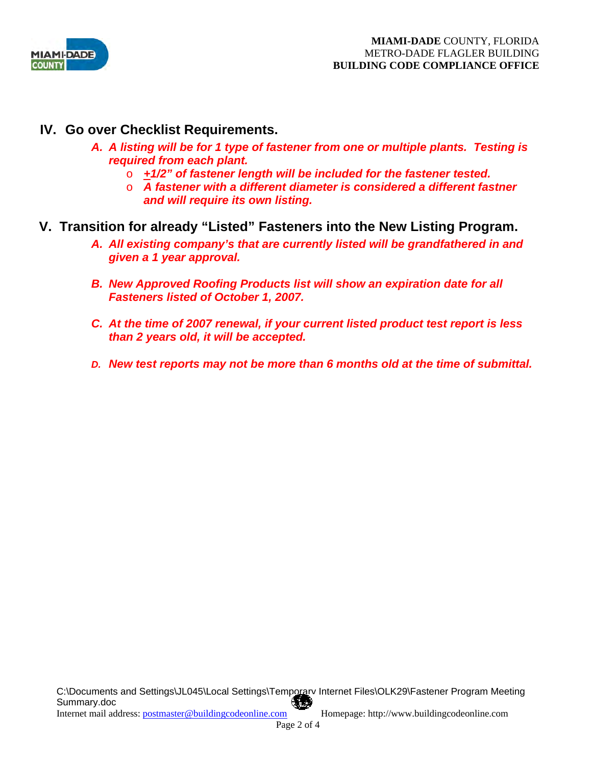

- **IV. Go over Checklist Requirements.** 
	- *A. A listing will be for 1 type of fastener from one or multiple plants. Testing is required from each plant.* 
		- o *+1/2" of fastener length will be included for the fastener tested.*
		- o *A fastener with a different diameter is considered a different fastner and will require its own listing.*
- **V. Transition for already "Listed" Fasteners into the New Listing Program.** 
	- *A. All existing company's that are currently listed will be grandfathered in and given a 1 year approval.*
	- *B. New Approved Roofing Products list will show an expiration date for all Fasteners listed of October 1, 2007.*
	- *C. At the time of 2007 renewal, if your current listed product test report is less than 2 years old, it will be accepted.*
	- *D. New test reports may not be more than 6 months old at the time of submittal.*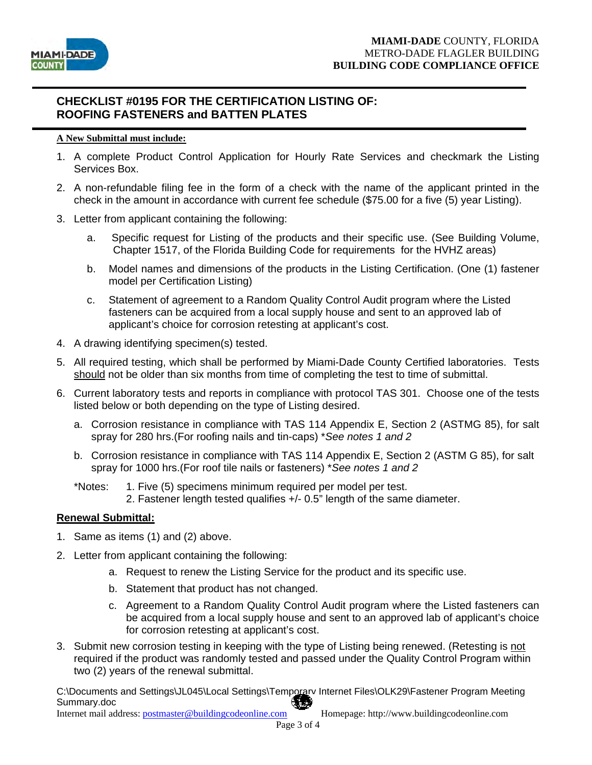

## **CHECKLIST #0195 FOR THE CERTIFICATION LISTING OF: ROOFING FASTENERS and BATTEN PLATES**

### **A New Submittal must include:**

- 1. A complete Product Control Application for Hourly Rate Services and checkmark the Listing Services Box.
- 2. A non-refundable filing fee in the form of a check with the name of the applicant printed in the check in the amount in accordance with current fee schedule (\$75.00 for a five (5) year Listing).
- 3. Letter from applicant containing the following:
	- a. Specific request for Listing of the products and their specific use. (See Building Volume, Chapter 1517, of the Florida Building Code for requirements for the HVHZ areas)
	- b. Model names and dimensions of the products in the Listing Certification. (One (1) fastener model per Certification Listing)
	- c. Statement of agreement to a Random Quality Control Audit program where the Listed fasteners can be acquired from a local supply house and sent to an approved lab of applicant's choice for corrosion retesting at applicant's cost.
- 4. A drawing identifying specimen(s) tested.
- 5. All required testing, which shall be performed by Miami-Dade County Certified laboratories. Tests should not be older than six months from time of completing the test to time of submittal.
- 6. Current laboratory tests and reports in compliance with protocol TAS 301. Choose one of the tests listed below or both depending on the type of Listing desired.
	- a. Corrosion resistance in compliance with TAS 114 Appendix E, Section 2 (ASTMG 85), for salt spray for 280 hrs.(For roofing nails and tin-caps) \**See notes 1 and 2*
	- b. Corrosion resistance in compliance with TAS 114 Appendix E, Section 2 (ASTM G 85), for salt spray for 1000 hrs.(For roof tile nails or fasteners) \**See notes 1 and 2*
	- \*Notes: 1. Five (5) specimens minimum required per model per test. 2. Fastener length tested qualifies +/- 0.5" length of the same diameter.

## **Renewal Submittal:**

- 1. Same as items (1) and (2) above.
- 2. Letter from applicant containing the following:
	- a. Request to renew the Listing Service for the product and its specific use.
	- b. Statement that product has not changed.
	- c. Agreement to a Random Quality Control Audit program where the Listed fasteners can be acquired from a local supply house and sent to an approved lab of applicant's choice for corrosion retesting at applicant's cost.
- 3. Submit new corrosion testing in keeping with the type of Listing being renewed. (Retesting is not required if the product was randomly tested and passed under the Quality Control Program within two (2) years of the renewal submittal.

C:\Documents and Settings\JL045\Local Settings\Temporary Internet Files\OLK29\Fastener Program Meeting Summary.doc